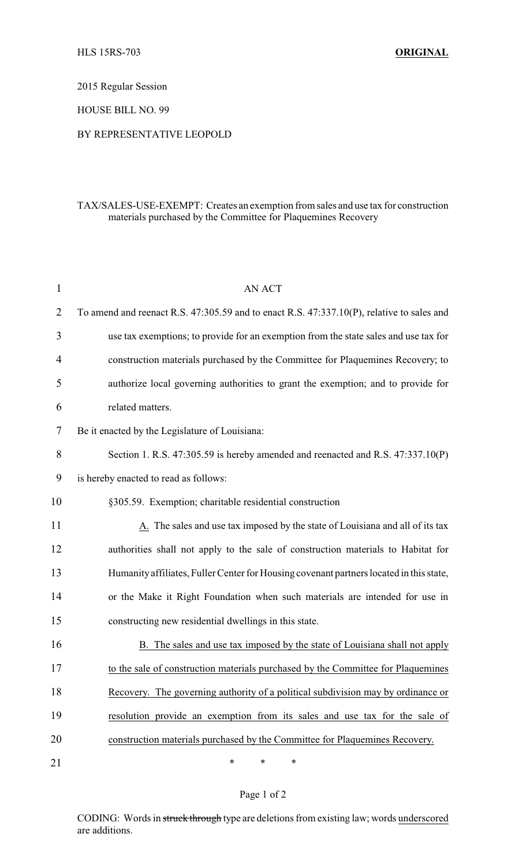2015 Regular Session

HOUSE BILL NO. 99

## BY REPRESENTATIVE LEOPOLD

## TAX/SALES-USE-EXEMPT: Creates an exemption from sales and use tax for construction materials purchased by the Committee for Plaquemines Recovery

| $\mathbf{1}$   | AN ACT                                                                                    |
|----------------|-------------------------------------------------------------------------------------------|
| 2              | To amend and reenact R.S. 47:305.59 and to enact R.S. 47:337.10(P), relative to sales and |
| 3              | use tax exemptions; to provide for an exemption from the state sales and use tax for      |
| $\overline{4}$ | construction materials purchased by the Committee for Plaquemines Recovery; to            |
| 5              | authorize local governing authorities to grant the exemption; and to provide for          |
| 6              | related matters.                                                                          |
| 7              | Be it enacted by the Legislature of Louisiana:                                            |
| 8              | Section 1. R.S. 47:305.59 is hereby amended and reenacted and R.S. 47:337.10(P)           |
| 9              | is hereby enacted to read as follows:                                                     |
| 10             | §305.59. Exemption; charitable residential construction                                   |
| 11             | A. The sales and use tax imposed by the state of Louisiana and all of its tax             |
| 12             | authorities shall not apply to the sale of construction materials to Habitat for          |
| 13             | Humanity affiliates, Fuller Center for Housing covenant partners located in this state,   |
| 14             | or the Make it Right Foundation when such materials are intended for use in               |
| 15             | constructing new residential dwellings in this state.                                     |
| 16             | B. The sales and use tax imposed by the state of Louisiana shall not apply                |
| 17             | to the sale of construction materials purchased by the Committee for Plaquemines          |
| 18             | Recovery. The governing authority of a political subdivision may by ordinance or          |
| 19             | resolution provide an exemption from its sales and use tax for the sale of                |
| 20             | construction materials purchased by the Committee for Plaquemines Recovery.               |
| 21             | $\ast$<br>$\ast$<br>$\ast$                                                                |

## Page 1 of 2

CODING: Words in struck through type are deletions from existing law; words underscored are additions.